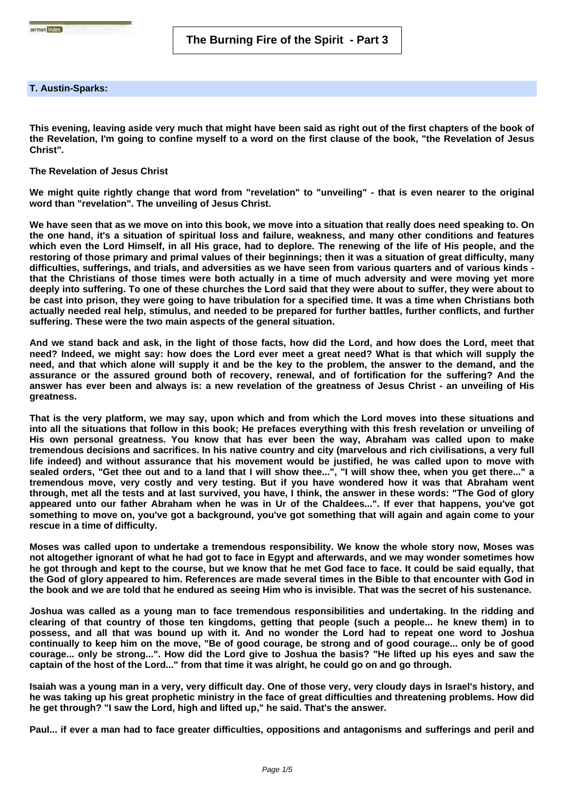## **T. Austin-Sparks:**

**This evening, leaving aside very much that might have been said as right out of the first chapters of the book of the Revelation, I'm going to confine myself to a word on the first clause of the book, "the Revelation of Jesus Christ".**

**The Revelation of Jesus Christ**

**We might quite rightly change that word from "revelation" to "unveiling" - that is even nearer to the original word than "revelation". The unveiling of Jesus Christ.** 

**We have seen that as we move on into this book, we move into a situation that really does need speaking to. On the one hand, it's a situation of spiritual loss and failure, weakness, and many other conditions and features which even the Lord Himself, in all His grace, had to deplore. The renewing of the life of His people, and the restoring of those primary and primal values of their beginnings; then it was a situation of great difficulty, many difficulties, sufferings, and trials, and adversities as we have seen from various quarters and of various kinds that the Christians of those times were both actually in a time of much adversity and were moving yet more deeply into suffering. To one of these churches the Lord said that they were about to suffer, they were about to be cast into prison, they were going to have tribulation for a specified time. It was a time when Christians both actually needed real help, stimulus, and needed to be prepared for further battles, further conflicts, and further suffering. These were the two main aspects of the general situation.** 

**And we stand back and ask, in the light of those facts, how did the Lord, and how does the Lord, meet that need? Indeed, we might say: how does the Lord ever meet a great need? What is that which will supply the need, and that which alone will supply it and be the key to the problem, the answer to the demand, and the assurance or the assured ground both of recovery, renewal, and of fortification for the suffering? And the answer has ever been and always is: a new revelation of the greatness of Jesus Christ - an unveiling of His greatness.** 

**That is the very platform, we may say, upon which and from which the Lord moves into these situations and into all the situations that follow in this book; He prefaces everything with this fresh revelation or unveiling of His own personal greatness. You know that has ever been the way, Abraham was called upon to make tremendous decisions and sacrifices. In his native country and city (marvelous and rich civilisations, a very full life indeed) and without assurance that his movement would be justified, he was called upon to move with sealed orders, "Get thee out and to a land that I will show thee...", "I will show thee, when you get there..." a tremendous move, very costly and very testing. But if you have wondered how it was that Abraham went through, met all the tests and at last survived, you have, I think, the answer in these words: "The God of glory appeared unto our father Abraham when he was in Ur of the Chaldees...". If ever that happens, you've got something to move on, you've got a background, you've got something that will again and again come to your rescue in a time of difficulty.** 

**Moses was called upon to undertake a tremendous responsibility. We know the whole story now, Moses was not altogether ignorant of what he had got to face in Egypt and afterwards, and we may wonder sometimes how he got through and kept to the course, but we know that he met God face to face. It could be said equally, that the God of glory appeared to him. References are made several times in the Bible to that encounter with God in the book and we are told that he endured as seeing Him who is invisible. That was the secret of his sustenance.**

**Joshua was called as a young man to face tremendous responsibilities and undertaking. In the ridding and clearing of that country of those ten kingdoms, getting that people (such a people... he knew them) in to possess, and all that was bound up with it. And no wonder the Lord had to repeat one word to Joshua continually to keep him on the move, "Be of good courage, be strong and of good courage... only be of good courage... only be strong...". How did the Lord give to Joshua the basis? "He lifted up his eyes and saw the captain of the host of the Lord..." from that time it was alright, he could go on and go through.**

**Isaiah was a young man in a very, very difficult day. One of those very, very cloudy days in Israel's history, and he was taking up his great prophetic ministry in the face of great difficulties and threatening problems. How did he get through? "I saw the Lord, high and lifted up," he said. That's the answer.** 

**Paul... if ever a man had to face greater difficulties, oppositions and antagonisms and sufferings and peril and**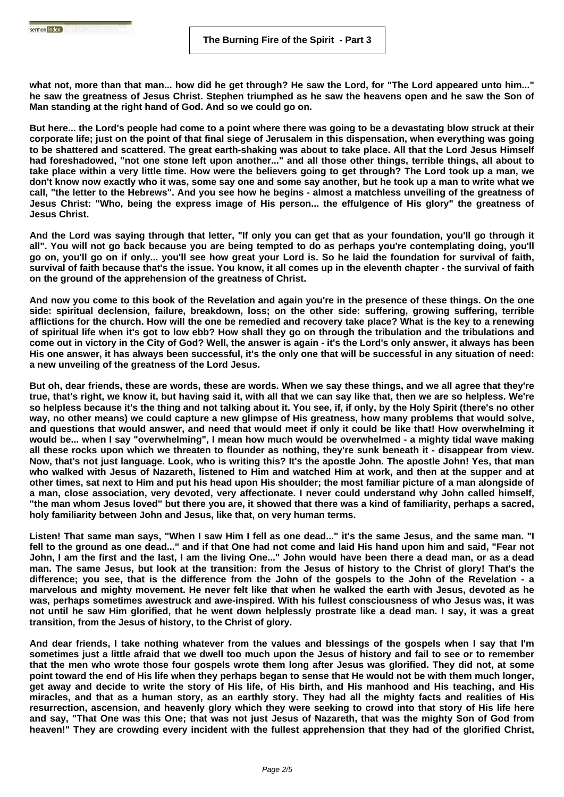sermon index **and the company** 

**what not, more than that man... how did he get through? He saw the Lord, for "The Lord appeared unto him..." he saw the greatness of Jesus Christ. Stephen triumphed as he saw the heavens open and he saw the Son of Man standing at the right hand of God. And so we could go on.**

**But here... the Lord's people had come to a point where there was going to be a devastating blow struck at their corporate life; just on the point of that final siege of Jerusalem in this dispensation, when everything was going to be shattered and scattered. The great earth-shaking was about to take place. All that the Lord Jesus Himself had foreshadowed, "not one stone left upon another..." and all those other things, terrible things, all about to take place within a very little time. How were the believers going to get through? The Lord took up a man, we don't know now exactly who it was, some say one and some say another, but he took up a man to write what we call, "the letter to the Hebrews". And you see how he begins - almost a matchless unveiling of the greatness of Jesus Christ: "Who, being the express image of His person... the effulgence of His glory" the greatness of Jesus Christ.** 

**And the Lord was saying through that letter, "If only you can get that as your foundation, you'll go through it all". You will not go back because you are being tempted to do as perhaps you're contemplating doing, you'll go on, you'll go on if only... you'll see how great your Lord is. So he laid the foundation for survival of faith, survival of faith because that's the issue. You know, it all comes up in the eleventh chapter - the survival of faith on the ground of the apprehension of the greatness of Christ.** 

**And now you come to this book of the Revelation and again you're in the presence of these things. On the one side: spiritual declension, failure, breakdown, loss; on the other side: suffering, growing suffering, terrible afflictions for the church. How will the one be remedied and recovery take place? What is the key to a renewing of spiritual life when it's got to low ebb? How shall they go on through the tribulation and the tribulations and come out in victory in the City of God? Well, the answer is again - it's the Lord's only answer, it always has been His one answer, it has always been successful, it's the only one that will be successful in any situation of need: a new unveiling of the greatness of the Lord Jesus.**

**But oh, dear friends, these are words, these are words. When we say these things, and we all agree that they're true, that's right, we know it, but having said it, with all that we can say like that, then we are so helpless. We're so helpless because it's the thing and not talking about it. You see, if, if only, by the Holy Spirit (there's no other way, no other means) we could capture a new glimpse of His greatness, how many problems that would solve, and questions that would answer, and need that would meet if only it could be like that! How overwhelming it would be... when I say "overwhelming", I mean how much would be overwhelmed - a mighty tidal wave making all these rocks upon which we threaten to flounder as nothing, they're sunk beneath it - disappear from view. Now, that's not just language. Look, who is writing this? It's the apostle John. The apostle John! Yes, that man who walked with Jesus of Nazareth, listened to Him and watched Him at work, and then at the supper and at other times, sat next to Him and put his head upon His shoulder; the most familiar picture of a man alongside of a man, close association, very devoted, very affectionate. I never could understand why John called himself, "the man whom Jesus loved" but there you are, it showed that there was a kind of familiarity, perhaps a sacred, holy familiarity between John and Jesus, like that, on very human terms.** 

**Listen! That same man says, "When I saw Him I fell as one dead..." it's the same Jesus, and the same man. "I fell to the ground as one dead..." and if that One had not come and laid His hand upon him and said, "Fear not John, I am the first and the last, I am the living One..." John would have been there a dead man, or as a dead man. The same Jesus, but look at the transition: from the Jesus of history to the Christ of glory! That's the difference; you see, that is the difference from the John of the gospels to the John of the Revelation - a marvelous and mighty movement. He never felt like that when he walked the earth with Jesus, devoted as he was, perhaps sometimes awestruck and awe-inspired. With his fullest consciousness of who Jesus was, it was not until he saw Him glorified, that he went down helplessly prostrate like a dead man. I say, it was a great transition, from the Jesus of history, to the Christ of glory.** 

**And dear friends, I take nothing whatever from the values and blessings of the gospels when I say that I'm sometimes just a little afraid that we dwell too much upon the Jesus of history and fail to see or to remember that the men who wrote those four gospels wrote them long after Jesus was glorified. They did not, at some point toward the end of His life when they perhaps began to sense that He would not be with them much longer, get away and decide to write the story of His life, of His birth, and His manhood and His teaching, and His miracles, and that as a human story, as an earthly story. They had all the mighty facts and realities of His resurrection, ascension, and heavenly glory which they were seeking to crowd into that story of His life here and say, "That One was this One; that was not just Jesus of Nazareth, that was the mighty Son of God from heaven!" They are crowding every incident with the fullest apprehension that they had of the glorified Christ,**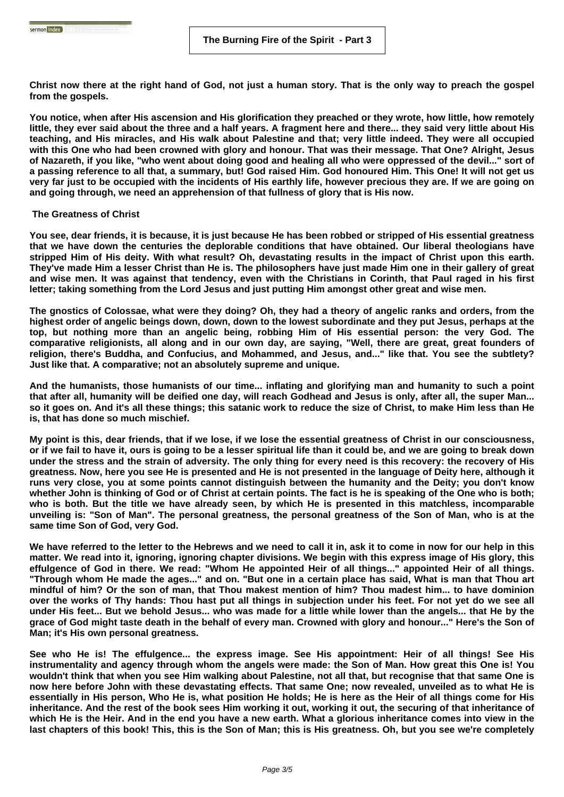**Christ now there at the right hand of God, not just a human story. That is the only way to preach the gospel from the gospels.** 

**You notice, when after His ascension and His glorification they preached or they wrote, how little, how remotely little, they ever said about the three and a half years. A fragment here and there... they said very little about His teaching, and His miracles, and His walk about Palestine and that; very little indeed. They were all occupied with this One who had been crowned with glory and honour. That was their message. That One? Alright, Jesus of Nazareth, if you like, "who went about doing good and healing all who were oppressed of the devil..." sort of a passing reference to all that, a summary, but! God raised Him. God honoured Him. This One! It will not get us very far just to be occupied with the incidents of His earthly life, however precious they are. If we are going on and going through, we need an apprehension of that fullness of glory that is His now.**

## **The Greatness of Christ**

**You see, dear friends, it is because, it is just because He has been robbed or stripped of His essential greatness that we have down the centuries the deplorable conditions that have obtained. Our liberal theologians have stripped Him of His deity. With what result? Oh, devastating results in the impact of Christ upon this earth. They've made Him a lesser Christ than He is. The philosophers have just made Him one in their gallery of great and wise men. It was against that tendency, even with the Christians in Corinth, that Paul raged in his first letter; taking something from the Lord Jesus and just putting Him amongst other great and wise men.** 

**The gnostics of Colossae, what were they doing? Oh, they had a theory of angelic ranks and orders, from the highest order of angelic beings down, down, down to the lowest subordinate and they put Jesus, perhaps at the top, but nothing more than an angelic being, robbing Him of His essential person: the very God. The comparative religionists, all along and in our own day, are saying, "Well, there are great, great founders of religion, there's Buddha, and Confucius, and Mohammed, and Jesus, and..." like that. You see the subtlety? Just like that. A comparative; not an absolutely supreme and unique.**

**And the humanists, those humanists of our time... inflating and glorifying man and humanity to such a point that after all, humanity will be deified one day, will reach Godhead and Jesus is only, after all, the super Man... so it goes on. And it's all these things; this satanic work to reduce the size of Christ, to make Him less than He is, that has done so much mischief.** 

**My point is this, dear friends, that if we lose, if we lose the essential greatness of Christ in our consciousness, or if we fail to have it, ours is going to be a lesser spiritual life than it could be, and we are going to break down under the stress and the strain of adversity. The only thing for every need is this recovery: the recovery of His greatness. Now, here you see He is presented and He is not presented in the language of Deity here, although it runs very close, you at some points cannot distinguish between the humanity and the Deity; you don't know whether John is thinking of God or of Christ at certain points. The fact is he is speaking of the One who is both; who is both. But the title we have already seen, by which He is presented in this matchless, incomparable unveiling is: "Son of Man". The personal greatness, the personal greatness of the Son of Man, who is at the same time Son of God, very God.** 

**We have referred to the letter to the Hebrews and we need to call it in, ask it to come in now for our help in this matter. We read into it, ignoring, ignoring chapter divisions. We begin with this express image of His glory, this effulgence of God in there. We read: "Whom He appointed Heir of all things..." appointed Heir of all things. "Through whom He made the ages..." and on. "But one in a certain place has said, What is man that Thou art mindful of him? Or the son of man, that Thou makest mention of him? Thou madest him... to have dominion over the works of Thy hands: Thou hast put all things in subjection under his feet. For not yet do we see all under His feet... But we behold Jesus... who was made for a little while lower than the angels... that He by the grace of God might taste death in the behalf of every man. Crowned with glory and honour..." Here's the Son of Man; it's His own personal greatness.** 

**See who He is! The effulgence... the express image. See His appointment: Heir of all things! See His instrumentality and agency through whom the angels were made: the Son of Man. How great this One is! You wouldn't think that when you see Him walking about Palestine, not all that, but recognise that that same One is now here before John with these devastating effects. That same One; now revealed, unveiled as to what He is essentially in His person, Who He is, what position He holds; He is here as the Heir of all things come for His inheritance. And the rest of the book sees Him working it out, working it out, the securing of that inheritance of which He is the Heir. And in the end you have a new earth. What a glorious inheritance comes into view in the last chapters of this book! This, this is the Son of Man; this is His greatness. Oh, but you see we're completely**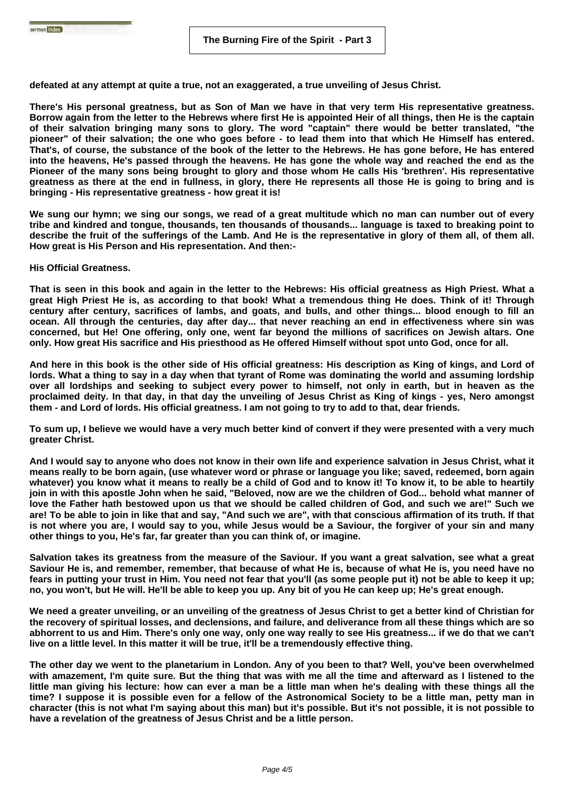**defeated at any attempt at quite a true, not an exaggerated, a true unveiling of Jesus Christ.** 

**There's His personal greatness, but as Son of Man we have in that very term His representative greatness. Borrow again from the letter to the Hebrews where first He is appointed Heir of all things, then He is the captain of their salvation bringing many sons to glory. The word "captain" there would be better translated, "the pioneer" of their salvation; the one who goes before - to lead them into that which He Himself has entered. That's, of course, the substance of the book of the letter to the Hebrews. He has gone before, He has entered into the heavens, He's passed through the heavens. He has gone the whole way and reached the end as the Pioneer of the many sons being brought to glory and those whom He calls His 'brethren'. His representative greatness as there at the end in fullness, in glory, there He represents all those He is going to bring and is bringing - His representative greatness - how great it is!** 

**We sung our hymn; we sing our songs, we read of a great multitude which no man can number out of every tribe and kindred and tongue, thousands, ten thousands of thousands... language is taxed to breaking point to describe the fruit of the sufferings of the Lamb. And He is the representative in glory of them all, of them all. How great is His Person and His representation. And then:-** 

**His Official Greatness.** 

sermon index **and the company** 

**That is seen in this book and again in the letter to the Hebrews: His official greatness as High Priest. What a great High Priest He is, as according to that book! What a tremendous thing He does. Think of it! Through century after century, sacrifices of lambs, and goats, and bulls, and other things... blood enough to fill an ocean. All through the centuries, day after day... that never reaching an end in effectiveness where sin was concerned, but He! One offering, only one, went far beyond the millions of sacrifices on Jewish altars. One only. How great His sacrifice and His priesthood as He offered Himself without spot unto God, once for all.** 

**And here in this book is the other side of His official greatness: His description as King of kings, and Lord of lords. What a thing to say in a day when that tyrant of Rome was dominating the world and assuming lordship over all lordships and seeking to subject every power to himself, not only in earth, but in heaven as the proclaimed deity. In that day, in that day the unveiling of Jesus Christ as King of kings - yes, Nero amongst them - and Lord of lords. His official greatness. I am not going to try to add to that, dear friends.** 

**To sum up, I believe we would have a very much better kind of convert if they were presented with a very much greater Christ.** 

**And I would say to anyone who does not know in their own life and experience salvation in Jesus Christ, what it means really to be born again, (use whatever word or phrase or language you like; saved, redeemed, born again whatever) you know what it means to really be a child of God and to know it! To know it, to be able to heartily join in with this apostle John when he said, "Beloved, now are we the children of God... behold what manner of love the Father hath bestowed upon us that we should be called children of God, and such we are!" Such we are! To be able to join in like that and say, "And such we are", with that conscious affirmation of its truth. If that is not where you are, I would say to you, while Jesus would be a Saviour, the forgiver of your sin and many other things to you, He's far, far greater than you can think of, or imagine.** 

**Salvation takes its greatness from the measure of the Saviour. If you want a great salvation, see what a great Saviour He is, and remember, remember, that because of what He is, because of what He is, you need have no fears in putting your trust in Him. You need not fear that you'll (as some people put it) not be able to keep it up; no, you won't, but He will. He'll be able to keep you up. Any bit of you He can keep up; He's great enough.** 

**We need a greater unveiling, or an unveiling of the greatness of Jesus Christ to get a better kind of Christian for the recovery of spiritual losses, and declensions, and failure, and deliverance from all these things which are so abhorrent to us and Him. There's only one way, only one way really to see His greatness... if we do that we can't live on a little level. In this matter it will be true, it'll be a tremendously effective thing.** 

**The other day we went to the planetarium in London. Any of you been to that? Well, you've been overwhelmed with amazement, I'm quite sure. But the thing that was with me all the time and afterward as I listened to the little man giving his lecture: how can ever a man be a little man when he's dealing with these things all the time? I suppose it is possible even for a fellow of the Astronomical Society to be a little man, petty man in character (this is not what I'm saying about this man) but it's possible. But it's not possible, it is not possible to have a revelation of the greatness of Jesus Christ and be a little person.**